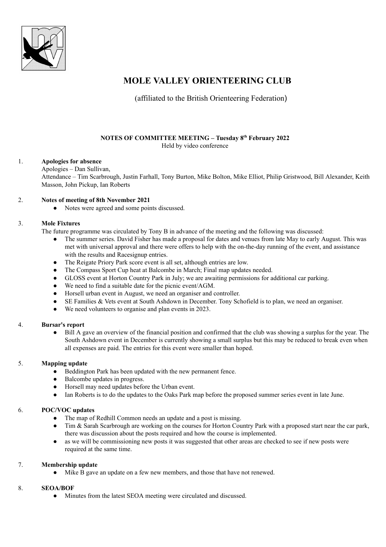

# **MOLE VALLEY ORIENTEERING CLUB**

(affiliated to the British Orienteering Federation)

#### **NOTES OF COMMITTEE MEETING – Tuesday 8 th February 2022** Held by video conference

1. **Apologies for absence** Apologies – Dan Sullivan, Attendance – Tim Scarbrough, Justin Farhall, Tony Burton, Mike Bolton, Mike Elliot, Philip Gristwood, Bill Alexander, Keith Masson, John Pickup, Ian Roberts

#### 2. **Notes of meeting of 8th November 2021**

● Notes were agreed and some points discussed.

#### 3. **Mole Fixtures**

The future programme was circulated by Tony B in advance of the meeting and the following was discussed:

- The summer series. David Fisher has made a proposal for dates and venues from late May to early August. This was met with universal approval and there were offers to help with the on-the-day running of the event, and assistance with the results and Racesignup entries.
- The Reigate Priory Park score event is all set, although entries are low.
- The Compass Sport Cup heat at Balcombe in March; Final map updates needed.
- GLOSS event at Horton Country Park in July; we are awaiting permissions for additional car parking.
- We need to find a suitable date for the picnic event/AGM.
- Horsell urban event in August, we need an organiser and controller.
- SE Families & Vets event at South Ashdown in December. Tony Schofield is to plan, we need an organiser.
- We need volunteers to organise and plan events in 2023.

# 4. **Bursar's report**

● Bill A gave an overview of the financial position and confirmed that the club was showing a surplus for the year. The South Ashdown event in December is currently showing a small surplus but this may be reduced to break even when all expenses are paid. The entries for this event were smaller than hoped.

# 5. **Mapping update**

- Beddington Park has been updated with the new permanent fence.
- Balcombe updates in progress.
- Horsell may need updates before the Urban event.
- Ian Roberts is to do the updates to the Oaks Park map before the proposed summer series event in late June.

# 6. **POC/VOC updates**

- The map of Redhill Common needs an update and a post is missing.
- Tim & Sarah Scarbrough are working on the courses for Horton Country Park with a proposed start near the car park, there was discussion about the posts required and how the course is implemented.
- as we will be commissioning new posts it was suggested that other areas are checked to see if new posts were required at the same time.

# 7. **Membership update**

Mike B gave an update on a few new members, and those that have not renewed.

# 8. **SEOA/BOF**

• Minutes from the latest SEOA meeting were circulated and discussed.